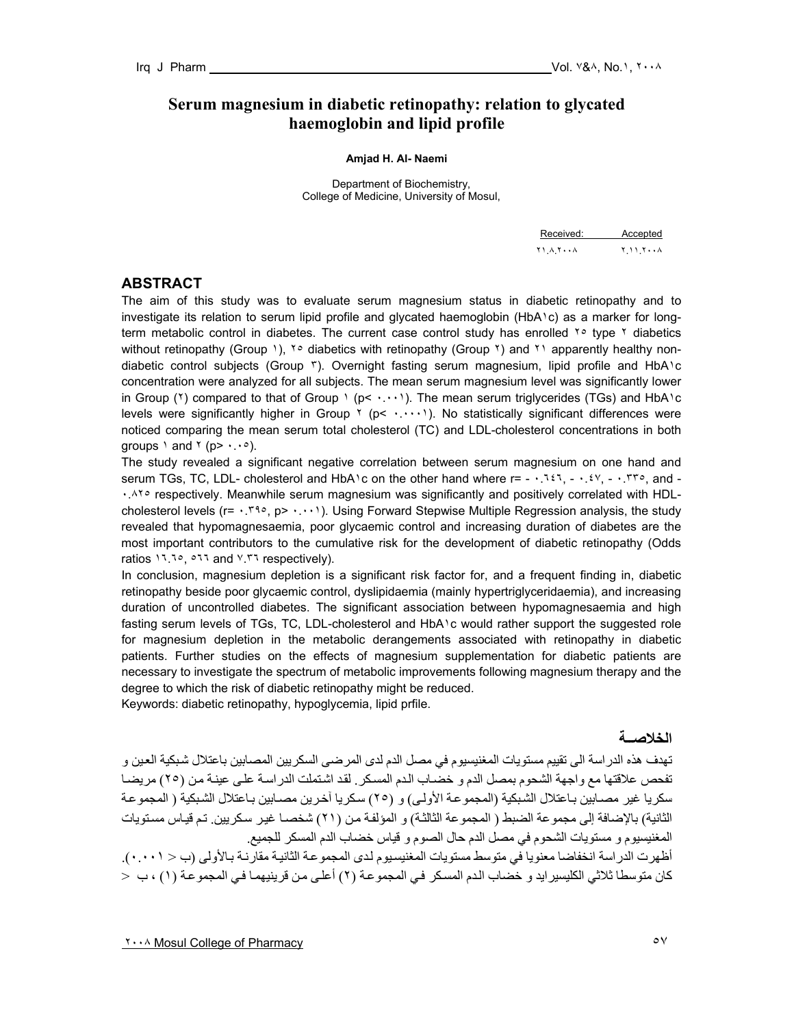# **Serum magnesium in diabetic retinopathy: relation to glycated haemoglobin and lipid profile**

#### **Amjad H. Al- Naemi**

Department of Biochemistry, College of Medicine, University of Mosul,

| Received: Accepted                        |  |
|-------------------------------------------|--|
| $Y \cup A Y \cdots A$ $Y \cup Y \cdots A$ |  |

#### **ABSTRACT**

The aim of this study was to evaluate serum magnesium status in diabetic retinopathy and to investigate its relation to serum lipid profile and glycated haemoglobin (HbA١c) as a marker for longterm metabolic control in diabetes. The current case control study has enrolled <sup>Yo</sup> type Y diabetics without retinopathy (Group 1), <sup>1</sup>° diabetics with retinopathy (Group <sup>1</sup>) and <sup>11</sup> apparently healthy nondiabetic control subjects (Group ٣). Overnight fasting serum magnesium, lipid profile and HbA١c concentration were analyzed for all subjects. The mean serum magnesium level was significantly lower in Group ( $\gamma$ ) compared to that of Group  $\gamma$  (p<  $\cdots$ ). The mean serum triglycerides (TGs) and HbA $\gamma$ c levels were significantly higher in Group ٢ (p< ......). No statistically significant differences were noticed comparing the mean serum total cholesterol (TC) and LDL-cholesterol concentrations in both groups  $\ln \tan \theta$  (p>  $\cdots$ °).

The study revealed a significant negative correlation between serum magnesium on one hand and serum TGs, TC, LDL- cholesterol and HbA١c on the other hand where  $r = -1.157$ ,  $-1.57$ ,  $-1.57$ , and -.<sup>17</sup>° respectively. Meanwhile serum magnesium was significantly and positively correlated with HDLcholesterol levels ( $r= \cdot 1.79$ , p>  $\cdot \cdot \cdot \cdot$ ). Using Forward Stepwise Multiple Regression analysis, the study revealed that hypomagnesaemia, poor glycaemic control and increasing duration of diabetes are the most important contributors to the cumulative risk for the development of diabetic retinopathy (Odds ratios ١٦.٦٥, ٥٦٦ and ٧.٣٦ respectively).

In conclusion, magnesium depletion is a significant risk factor for, and a frequent finding in, diabetic retinopathy beside poor glycaemic control, dyslipidaemia (mainly hypertriglyceridaemia), and increasing duration of uncontrolled diabetes. The significant association between hypomagnesaemia and high fasting serum levels of TGs, TC, LDL-cholesterol and HbA١c would rather support the suggested role for magnesium depletion in the metabolic derangements associated with retinopathy in diabetic patients. Further studies on the effects of magnesium supplementation for diabetic patients are necessary to investigate the spectrum of metabolic improvements following magnesium therapy and the degree to which the risk of diabetic retinopathy might be reduced.

Keywords: diabetic retinopathy, hypoglycemia, lipid prfile.

#### **الخلاصــة**

تهدف هذه الدراسة الى تقييم مستويات المغنيسيوم في مصل الدم لدى المرضىي السكريين المصـابين باعتلال شبكية العين و تفحص علاقتها مع واجهة الشحوم بمصل الدم و خضباب الدم المسكر . لقد اشتملت الدر اسه علمي عينـة من (٢٥) مريضبا سكريا غير مصـابين بـاعتلال الشبكية (المجموعـة الأولـى) و (٢٥) سكريا آخرين مصـابين بـاعتلال الشبكية ( المجموعـة الثانية) بالإضافة إلى مجموعة الضبط ( المجموعة الثالثة) و المؤلفة من (٢١) شخصـا غير سكريين. تم قياس مستويات المغنيسيوم و مستويات الشحوم في مصل الدم حال الصوم و قياس خضاب الدم المسكر للجميع.

أظهرت الدراسة انخفاضا معنويا في متوسط مستويات المغنيسيوم لدى المجموعة الثانية مقارنة بالأولى (ب < ٠.٠٠١). كان متوسطا ثلاثي الكليسير ايد و خضاب الدم المسكر في المجموعة (٢) أعلي من قرينيهمـا في المجموعة (١) ، ب <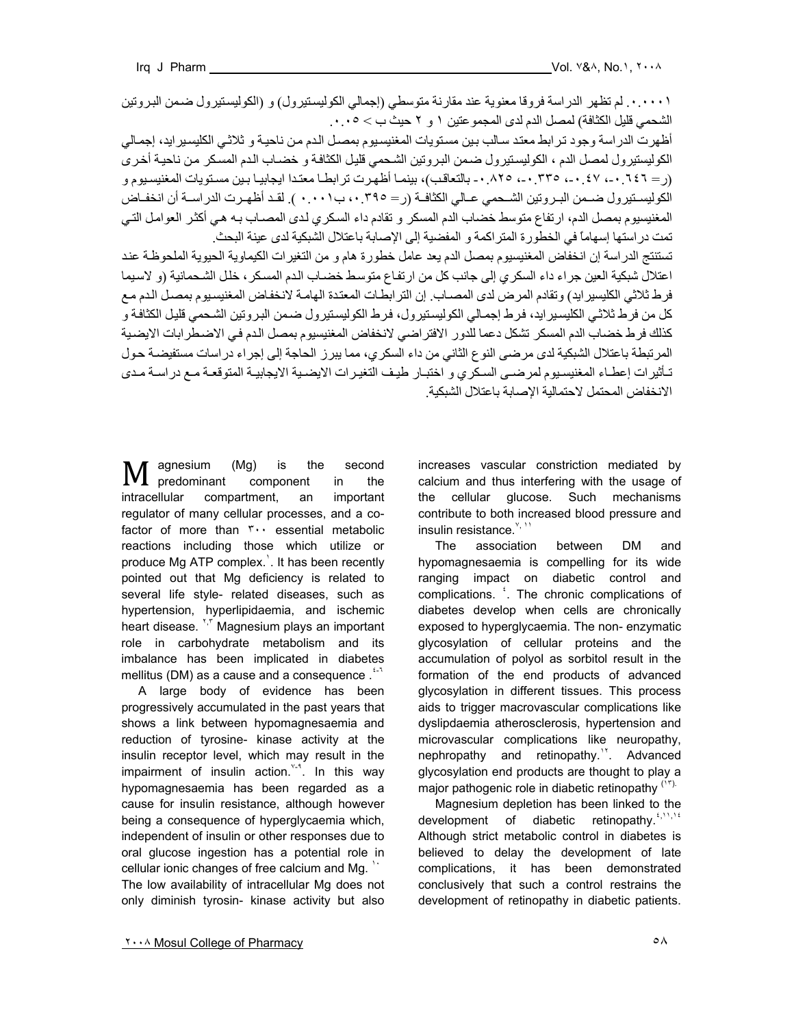.٠.٠٠٠١ لم تظهر الدراسة فروقا معنوية عند مقارنة متوسطي (إجمالي الكوليسѧتيرول) و (الكوليسѧتيرول ضѧمن البѧروتين الشحمي قليل الكثافة) لمصل الدم لدى المجموعتين ١ و ٢ حيث ب > .٠.٠٥

أظهرت الدراسة وجود ترابط معتد سالب بين مستويات المغنيسيوم بمصل الدم من ناحية و ثلاثي الكليسيرايد، إجمالي الكوليستيرول لمصل الدم ، الكوليستيرول ضمن البروتين الشحمي قليل الكثافة و خضاب الدم المسكر من ناحية أخرى (ر = ٦٤٦ ٠-، ٤٧ .-، ٣٣٥ .-، ٨٢٥ .- بالتعاقب)، بينمـا أظهرت تر ابطـا معتدا ايجابيـا بـين مسـتويات المغنيسـيوم و الكوليسـتيرول ضـمن البـروتين الشـحمي عـالي الكثافـة (ر= ،٠.٣٩٥ ب٠٠١ ). لقـد أظهـرت الدراسـة أن انخفـاض المغنيسيوم بمصل الدم، ارتفاع متوسط خضاب الدم المسكر و تقادم داء السكري لدى المصـاب بـه هـي أكثر العوامل التـي تمت دراستها إسهاماً في الخطورة المتراآمة و المفضية إلى الإصابة باعتلال الشبكية لدى عينة البحث.

تستنتج الدراسة إن انخفاض المغنيسيوم بمصل الدم يعد عامل خطورة هام و من التغير ات الكيماوية الحيوية الملحوظـة عند اعتلال شبكية العين جراء داء السكري إلى جانب كل من ارتفاع متوسط خضباب الدم المسكر ، خلل الشحمانية (و لاسيما فرط ثلاثي الكليسير ايد) وتقادم المرض لدى المصـاب. إن الترابطـات المعتدة الهامـة لانخفـاض المغنيسيوم بمصـل الدم مـع كل من فرط ثلاثي الكليسير ايد، فرط إجمالي الكوليستيرول، فرط الكوليستيرول ضمن البروتين الشحمي قليل الكثافة و كذلك فرط خضاب الدم المسكر تشكل دعما للدور الافتراضي لانخفاض المغنيسيوم بمصل الدم في الاضطرابات الايضية المرتبطة باعتلال الشبكية لدى مرضى النوع الثاني من داء السكري، مما يبرز الحاجة إلى إجراء دراسات مستفيضـة حول تأثير ات إعطـاء المغنيسـيو م لمر ضـي السـكر ي و اختبـار ً طيـف التغيـر ات الايضـية الايجابيـة المتوقعـة مـع در اسـة مـدى الانخفاض المحتمل لاحتمالية الإصابة باعتلال الشبكية.

agnesium (Mg) is the second M agnesium (Mg) is the second<br>predominant component in the intracellular compartment, an important regulator of many cellular processes, and a cofactor of more than ٣٠٠ essential metabolic reactions including those which utilize or produce Mg ATP complex.<sup>1</sup>. It has been recently pointed out that Mg deficiency is related to several life style- related diseases, such as hypertension, hyperlipidaemia, and ischemic heart disease. ',' Magnesium plays an important role in carbohydrate metabolism and its imbalance has been implicated in diabetes mellitus (DM) as a cause and a consequence  $.$ <sup> $\ddot{\cdot}$ 1</sup>

 A large body of evidence has been progressively accumulated in the past years that shows a link between hypomagnesaemia and reduction of tyrosine- kinase activity at the insulin receptor level, which may result in the impairment of insulin action. $Y^{-3}$ . In this way hypomagnesaemia has been regarded as a cause for insulin resistance, although however being a consequence of hyperglycaemia which, independent of insulin or other responses due to oral glucose ingestion has a potential role in cellular ionic changes of free calcium and Mg. ` The low availability of intracellular Mg does not only diminish tyrosin- kinase activity but also

increases vascular constriction mediated by calcium and thus interfering with the usage of the cellular glucose. Such mechanisms contribute to both increased blood pressure and insulin resistance.<sup>Y, 11</sup>

 The association between DM and hypomagnesaemia is compelling for its wide ranging impact on diabetic control and complications. <sup>1</sup>. The chronic complications of diabetes develop when cells are chronically exposed to hyperglycaemia. The non- enzymatic glycosylation of cellular proteins and the accumulation of polyol as sorbitol result in the formation of the end products of advanced glycosylation in different tissues. This process aids to trigger macrovascular complications like dyslipdaemia atherosclerosis, hypertension and microvascular complications like neuropathy, nephropathy and retinopathy.<sup>11</sup>. Advanced glycosylation end products are thought to play a major pathogenic role in diabetic retinopathy  $(17)$ .

 Magnesium depletion has been linked to the development of diabetic retinopathy.<sup>4,11,14</sup> Although strict metabolic control in diabetes is believed to delay the development of late complications, it has been demonstrated conclusively that such a control restrains the development of retinopathy in diabetic patients.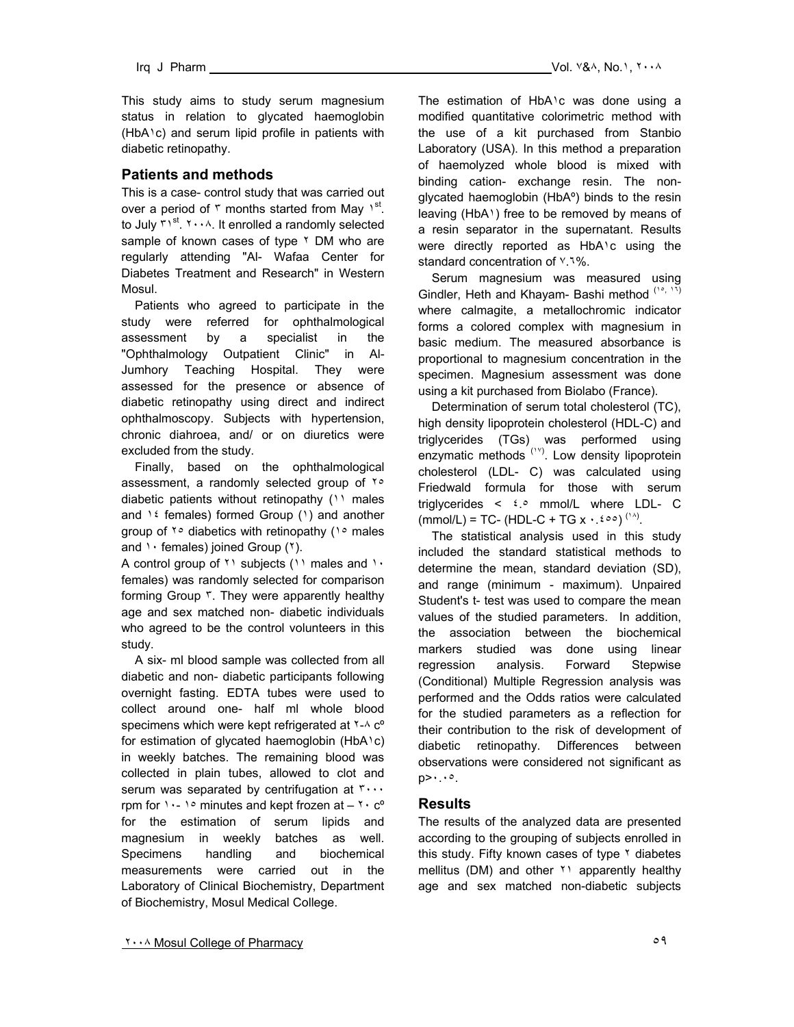This study aims to study serum magnesium status in relation to glycated haemoglobin (HbA١c) and serum lipid profile in patients with diabetic retinopathy.

# **Patients and methods**

This is a case- control study that was carried out over a period of  $\tau$  months started from May 1<sup>st</sup>. to July  $\mathsf{r}_1$ <sup>st</sup>.  $\mathsf{r}_2$ . It enrolled a randomly selected sample of known cases of type <sup>٢</sup> DM who are regularly attending "Al- Wafaa Center for Diabetes Treatment and Research" in Western Mosul.

 Patients who agreed to participate in the study were referred for ophthalmological assessment by a specialist in the "Ophthalmology Outpatient Clinic" in Al-Jumhory Teaching Hospital. They were assessed for the presence or absence of diabetic retinopathy using direct and indirect ophthalmoscopy. Subjects with hypertension, chronic diahroea, and/ or on diuretics were excluded from the study.

 Finally, based on the ophthalmological assessment, a randomly selected group of ٢٥ diabetic patients without retinopathy (11 males and  $16$  females) formed Group (1) and another group of  $\gamma \circ$  diabetics with retinopathy ( $\gamma \circ$  males and  $\cdot \cdot$  females) joined Group ( $\cdot$ ).

A control group of <sup>1</sup> subjects (11 males and 1. females) was randomly selected for comparison forming Group ٣. They were apparently healthy age and sex matched non- diabetic individuals who agreed to be the control volunteers in this study.

 A six- ml blood sample was collected from all diabetic and non- diabetic participants following overnight fasting. EDTA tubes were used to collect around one- half ml whole blood specimens which were kept refrigerated at  $1 - A$  c<sup>o</sup> for estimation of glycated haemoglobin (HbA١c) in weekly batches. The remaining blood was collected in plain tubes, allowed to clot and serum was separated by centrifugation at ٣٠٠٠ rpm for  $1 - 1$  minutes and kept frozen at  $-1$   $\cdot$  c<sup>o</sup> for the estimation of serum lipids and magnesium in weekly batches as well. Specimens handling and biochemical measurements were carried out in the Laboratory of Clinical Biochemistry, Department of Biochemistry, Mosul Medical College.

The estimation of HbA<sup>1</sup>c was done using a modified quantitative colorimetric method with the use of a kit purchased from Stanbio Laboratory (USA). In this method a preparation of haemolyzed whole blood is mixed with binding cation- exchange resin. The nonglycated haemoglobin (HbAº) binds to the resin leaving (HbA١) free to be removed by means of a resin separator in the supernatant. Results were directly reported as HbA١c using the standard concentration of ٧.٦%.

 Serum magnesium was measured using Gindler, Heth and Khayam- Bashi method (10, 11) where calmagite, a metallochromic indicator forms a colored complex with magnesium in basic medium. The measured absorbance is proportional to magnesium concentration in the specimen. Magnesium assessment was done using a kit purchased from Biolabo (France).

 Determination of serum total cholesterol (TC), high density lipoprotein cholesterol (HDL-C) and triglycerides (TGs) was performed using enzymatic methods <sup>(1Y)</sup>. Low density lipoprotein cholesterol (LDL- C) was calculated using Friedwald formula for those with serum triglycerides  $\lt$   $\frac{1}{2}$  mmol/L where LDL- C  $(mmol/L) = TC-(HDL-C + TG x \cdot .\epsilon \circ \circ)^{(\cdot \wedge)}$ .

 The statistical analysis used in this study included the standard statistical methods to determine the mean, standard deviation (SD), and range (minimum - maximum). Unpaired Student's t- test was used to compare the mean values of the studied parameters. In addition, the association between the biochemical markers studied was done using linear regression analysis. Forward Stepwise (Conditional) Multiple Regression analysis was performed and the Odds ratios were calculated for the studied parameters as a reflection for their contribution to the risk of development of diabetic retinopathy. Differences between observations were considered not significant as p>٠.٠٥.

## **Results**

The results of the analyzed data are presented according to the grouping of subjects enrolled in this study. Fifty known cases of type  $\gamma$  diabetes mellitus (DM) and other \* apparently healthy age and sex matched non-diabetic subjects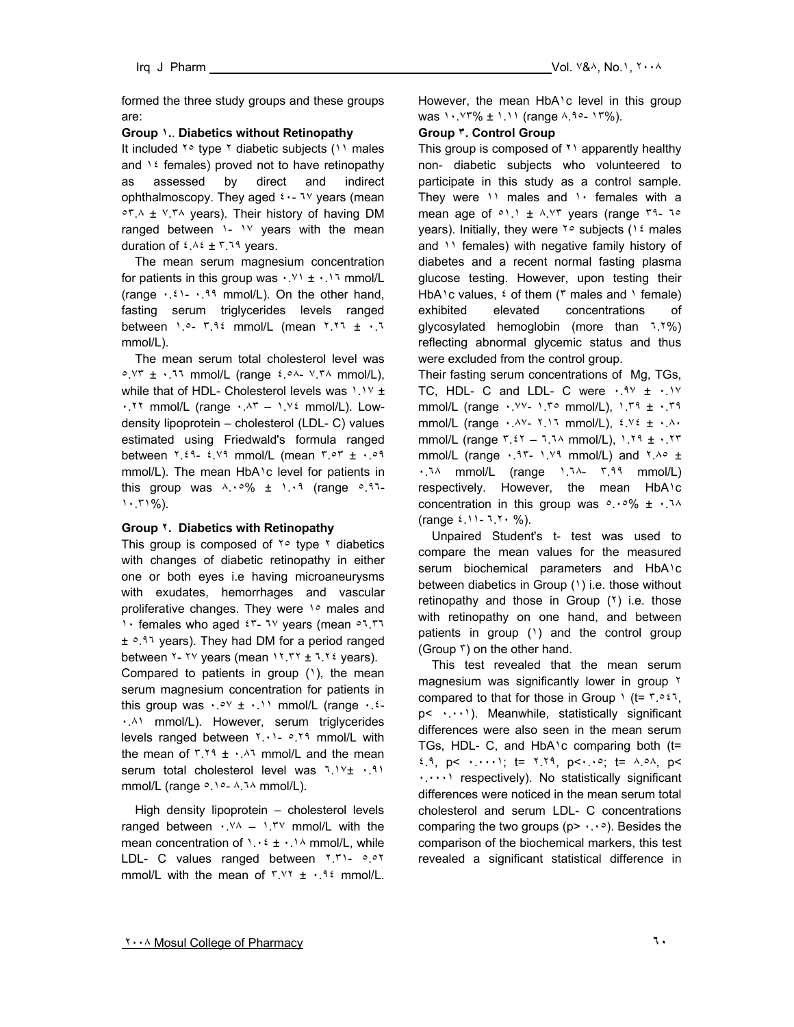formed the three study groups and these groups are:

## **Group ١.**. **Diabetics without Retinopathy**

It included ٢٥ type ٢ diabetic subjects (١١ males and  $12$  females) proved not to have retinopathy as assessed by direct and indirect ophthalmoscopy. They aged ٤٠- ٦٧ years (mean ٥٣.٨ ± ٧.٣٨ years). Their history of having DM ranged between  $1 - 1$  years with the mean duration of  $2.12 \times 10^{-4}$  years.

 The mean serum magnesium concentration for patients in this group was  $\cdot$ .  $\cdot$  +  $\cdot$ .  $\cdot$  mmol/L (range  $\cdot$  .  $\cdot$  1.14 mmol/L). On the other hand, fasting serum triglycerides levels ranged between  $1.0 - 7.92$  mmol/L (mean  $7.77 \pm .77$ mmol/L).

 The mean serum total cholesterol level was ٥.٧٣ ± ٠.٦٦ mmol/L (range ٤.٥٨- ٧.٣٨ mmol/L), while that of HDL- Cholesterol levels was ١.١٧ ±  $\cdot$ . ٢٢ mmol/L (range  $\cdot$  ^ - 1.  $\vee$  mmol/L). Lowdensity lipoprotein – cholesterol (LDL- C) values estimated using Friedwald's formula ranged between ٢.٤٩- ٤.٧٩ mmol/L (mean ٣.٥٣ ± ٠.٥٩ mmol/L). The mean HbA1c level for patients in this group was  $\wedge \cdot \circ \%$   $\pm$   $\wedge \cdot \circ$  (range  $\circ$ .91-١٠.٣١%).

## **Group ٢. Diabetics with Retinopathy**

This group is composed of  $\gamma \circ$  type  $\gamma$  diabetics with changes of diabetic retinopathy in either one or both eyes i.e having microaneurysms with exudates, hemorrhages and vascular proliferative changes. They were 1.0 males and 1. females who aged  $57 - 79$  years (mean  $07.77$ ± ٥.٩٦ years). They had DM for a period ranged between  $Y - YY$  years (mean  $YYY + 7YY$  years). Compared to patients in group  $(1)$ , the mean serum magnesium concentration for patients in this group was  $\cdot \cdot \cdot \cdot$   $\cdot \cdot \cdot \cdot$  mmol/L (range  $\cdot \cdot \cdot$ ٠.٨١ mmol/L). However, serum triglycerides levels ranged between ٢.٠١- ٥.٢٩ mmol/L with the mean of  $1.19 \pm 1.11$  mmol/L and the mean serum total cholesterol level was ٦.١٧± ٠.٩١ mmol/L (range  $\circ$ . 10- A.14 mmol/L).

 High density lipoprotein – cholesterol levels ranged between ٠.٧٨ – ١.٣٧ mmol/L with the mean concentration of  $1.12 \pm 1.14$  mmol/L, while LDL- C values ranged between ٢.٣١- ٥.٥٢ mmol/L with the mean of  $\frac{r}{x} + \frac{q}{x}$  mmol/L.

However, the mean HbA<sup>1</sup>c level in this group was ١٠.٧٣% ± ١.١١ (range ٨.٩٥- ١٣%).

## **Group ٣. Control Group**

This group is composed of ٢١ apparently healthy non- diabetic subjects who volunteered to participate in this study as a control sample. They were  $\cdots$  males and  $\cdots$  females with a mean age of  $\circ$ 1.1 ±  $\wedge$ . Yr years (range rq-10 years). Initially, they were ٢٥ subjects (١٤ males and  $\binom{1}{1}$  females) with negative family history of diabetes and a recent normal fasting plasma glucose testing. However, upon testing their HbA<sup>1</sup>c values,  $\frac{1}{2}$  of them ( $\frac{1}{2}$  males and  $\frac{1}{2}$  female) exhibited elevated concentrations of glycosylated hemoglobin (more than ٦.٢%) reflecting abnormal glycemic status and thus were excluded from the control group.

Their fasting serum concentrations of Mg, TGs, TC, HDL- C and LDL- C were  $\cdot$ .9Y  $\pm$   $\cdot$ .1Y mmol/L (range ٠.٧٧- ١.٣٥ mmol/L), ١.٣٩ ± ٠.٣٩ mmol/L (range  $\cdot$   $\lambda$ Y-  $\lambda$ ) mmol/L),  $\lambda$  Y  $\pm$   $\lambda$ . mmol/L (range  $r_{.}27 - 3.34$  mmol/L),  $1.19 \pm .177$ mmol/L (range  $\cdot$ . ٩٣- ١.٧٩ mmol/L) and  $\frac{1}{100}$ ٠.٦٨ mmol/L (range ١.٦٨- ٣.٩٩ mmol/L) respectively. However, the mean HbA١c concentration in this group was  $0.006 \pm 0.14$ (range ٤.١١- ٦.٢٠ %).

 Unpaired Student's t- test was used to compare the mean values for the measured serum biochemical parameters and HbA<sup>1</sup>c between diabetics in Group (١) i.e. those without retinopathy and those in Group (٢) i.e. those with retinopathy on one hand, and between patients in group (1) and the control group (Group ٣) on the other hand.

 This test revealed that the mean serum magnesium was significantly lower in group ٢ compared to that for those in Group  $\iota$  (t=  $\iota \circ \iota$ , p< ٠.٠٠١). Meanwhile, statistically significant differences were also seen in the mean serum TGs, HDL- C, and HbA١c comparing both (t=  $2.9$ ,  $p$ <  $\cdots$ ; t=  $1.19$ ,  $p$ < $\cdots$ ; t=  $\lambda.0\lambda$ ,  $p$ < ٠.٠٠٠١ respectively). No statistically significant differences were noticed in the mean serum total cholesterol and serum LDL- C concentrations comparing the two groups ( $p$ >  $\cdots$ °). Besides the comparison of the biochemical markers, this test revealed a significant statistical difference in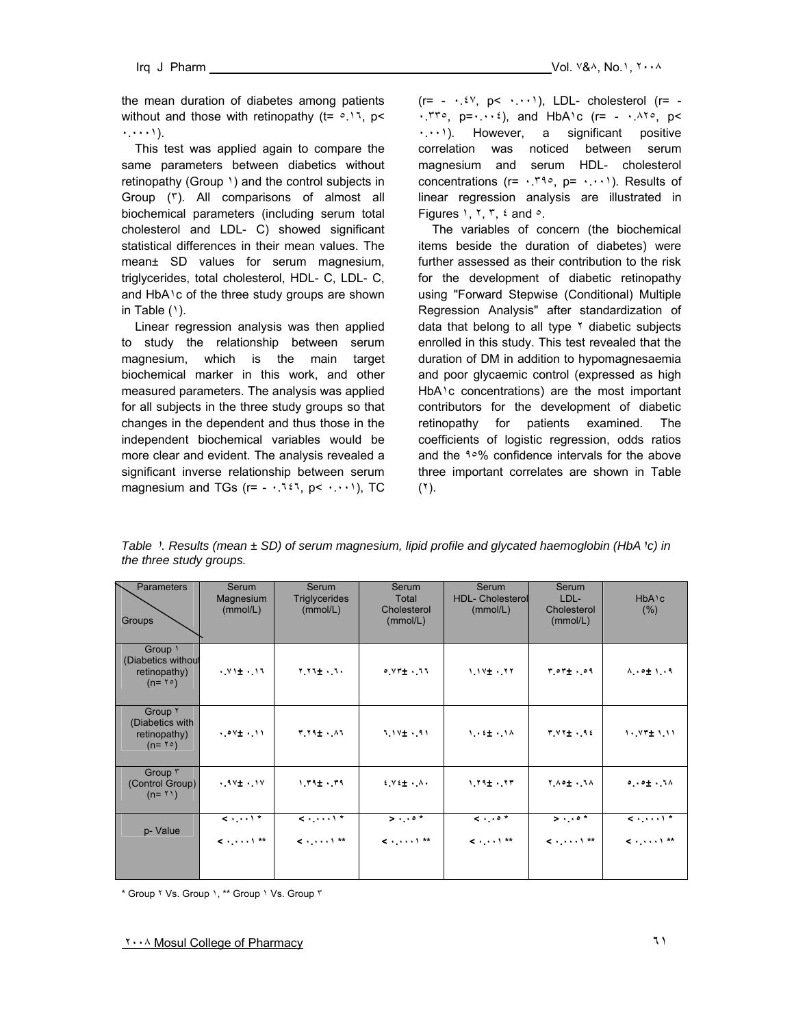the mean duration of diabetes among patients without and those with retinopathy  $(t= 0.17, p<$ ٠.٠٠٠١).

 This test was applied again to compare the same parameters between diabetics without retinopathy (Group ١) and the control subjects in Group (٣). All comparisons of almost all biochemical parameters (including serum total cholesterol and LDL- C) showed significant statistical differences in their mean values. The mean± SD values for serum magnesium, triglycerides, total cholesterol, HDL- C, LDL- C, and HbA<sup>1</sup>c of the three study groups are shown in Table  $(1)$ .

 Linear regression analysis was then applied to study the relationship between serum magnesium, which is the main target biochemical marker in this work, and other measured parameters. The analysis was applied for all subjects in the three study groups so that changes in the dependent and thus those in the independent biochemical variables would be more clear and evident. The analysis revealed a significant inverse relationship between serum magnesium and TGs ( $r = -1337$ ,  $p < +111$ ), TC

 $(r= - \cdot .\dot{z}^{\gamma}, p < \cdot . \cdot \cdot)$ , LDL- cholesterol  $(r= \cdot$ .  $\mathsf{r} \cdot \mathsf{r} \cdot \mathsf{r} = \cdot \cdot \cdot \cdot$ , and HbA $\cdot$  (r= -  $\cdot$   $\cdot$   $\cdot \cdot \cdot$ ) p < ٠.٠٠١). However, a significant positive correlation was noticed between serum magnesium and serum HDL- cholesterol concentrations ( $r = \cdot 79^\circ$ ,  $p = \cdot \cdot \cdot$ ). Results of linear regression analysis are illustrated in Figures  $1, 7, 7, 2$  and  $\circ$ .

 The variables of concern (the biochemical items beside the duration of diabetes) were further assessed as their contribution to the risk for the development of diabetic retinopathy using "Forward Stepwise (Conditional) Multiple Regression Analysis" after standardization of data that belong to all type  $\frac{1}{1}$  diabetic subjects enrolled in this study. This test revealed that the duration of DM in addition to hypomagnesaemia and poor glycaemic control (expressed as high HbA١c concentrations) are the most important contributors for the development of diabetic retinopathy for patients examined. The coefficients of logistic regression, odds ratios and the ٩٥% confidence intervals for the above three important correlates are shown in Table (٢).

| Table 1. Results (mean ± SD) of serum magnesium, lipid profile and glycated haemoglobin (HbA 1c) in |  |
|-----------------------------------------------------------------------------------------------------|--|
| the three study groups.                                                                             |  |

| <b>Parameters</b><br>Groups                                                     | Serum<br>Magnesium<br>(mmol/L)                 | Serum<br><b>Triglycerides</b><br>(mmol/L)                                                | Serum<br>Total<br>Cholesterol<br>(mmol/L) | Serum<br><b>HDL- Cholesterol</b><br>(mmol/L)    | Serum<br>LDL-<br>Cholesterol<br>(mmol/L) | HbA <sub>1</sub> c<br>(% )                                                               |
|---------------------------------------------------------------------------------|------------------------------------------------|------------------------------------------------------------------------------------------|-------------------------------------------|-------------------------------------------------|------------------------------------------|------------------------------------------------------------------------------------------|
| Group \<br>(Diabetics without<br>retinopathy)<br>$(n = \Upsilon \circ)$         | $.91 \pm .01$                                  | $Y_1Y_2 + \ldots$                                                                        | $0.17 + 1.1$                              | $1.1Y + 1Y$                                     | $r \circ r \pm 0.9$                      | $\wedge \cdot \circ \pm \wedge \cdot \circ$                                              |
| Group <sup>Y</sup><br>(Diabetics with<br>retinopathy)<br>$(n = \Upsilon \circ)$ | $.99 \pm .11$                                  | $T Y 1 + \lambda Y$                                                                      | $1.19 + .41$                              | $1.4 \pm .14$                                   | $T.VY_{\pm}$ . 92                        | $1.97 + 1.11$                                                                            |
| Group r<br>(Control Group)<br>$(n = 1)$                                         | $.99 + .99$                                    | $1.79 + .79$                                                                             | $f \vee f \pm \cdot \wedge \cdot$         | $1.19 + .17$                                    | Y A = 1 . 1 A                            | 0.01.11                                                                                  |
| p- Value                                                                        | $\leq$ $\sqrt{1 + \frac{1}{n}}$<br>$\leq$ 1 ** | $\langle \cdot, \cdot \cdot \cdot \rangle$ *<br>$\langle \cdot, \cdot, \cdot \rangle$ ** | $>$ *<br>$\leq$ $\uparrow$ **             | $\langle \cdot \rangle$<br>$\leq$ $\uparrow$ ** | $>$ *<br>$\leq$ 1 **                     | $\langle \cdot, \cdot \cdot \cdot \rangle$ *<br>$\langle \cdot, \cdot, \cdot \rangle$ ** |

\* Group ٢ Vs. Group ١, \*\* Group ١ Vs. Group ٣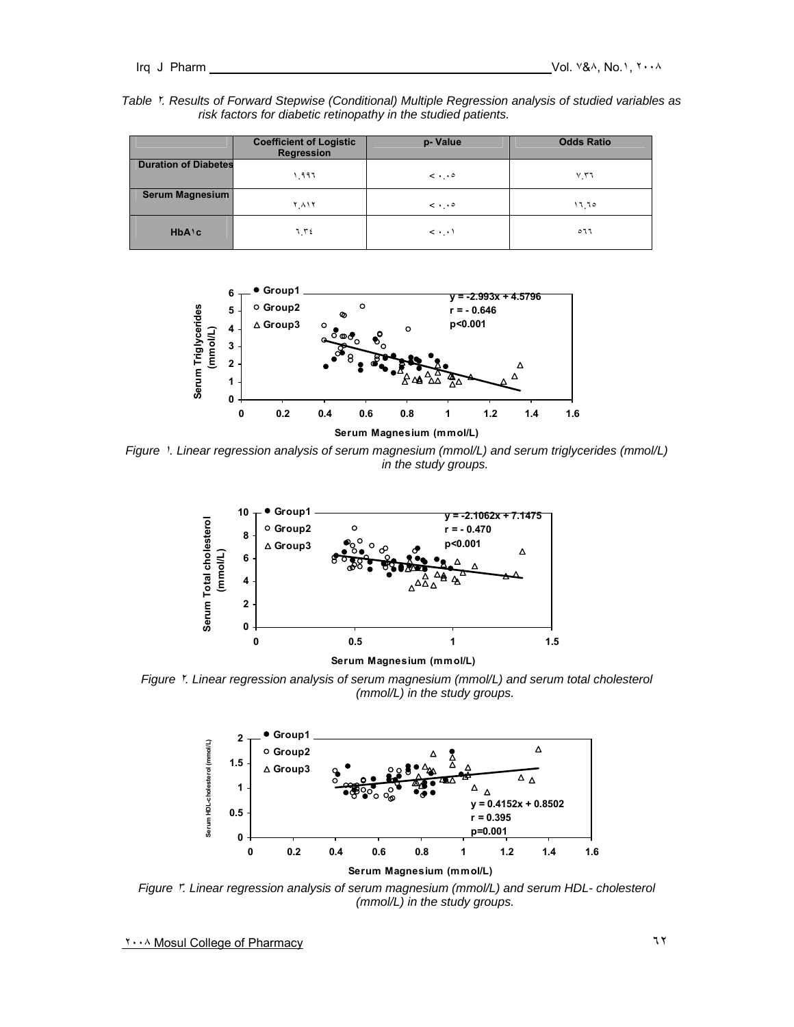| Table Y. Results of Forward Stepwise (Conditional) Multiple Regression analysis of studied variables as |  |
|---------------------------------------------------------------------------------------------------------|--|
| risk factors for diabetic retinopathy in the studied patients.                                          |  |

|                             | <b>Coefficient of Logistic</b><br>Regression | p-Value                   | <b>Odds Ratio</b> |
|-----------------------------|----------------------------------------------|---------------------------|-------------------|
| <b>Duration of Diabetes</b> | ۱ ۹۹٦                                        | $\langle \cdot \rangle$ . | $V_1$ ۳٦          |
| Serum Magnesium             | ۲٫۸۱۲                                        | $\langle \cdot \rangle$ . | ۱٦ ٦٥             |
| $HbA$ <sup>c</sup>          | ۲۲٤ ل                                        | $\langle \cdot \rangle$ . | ٥٦٦               |



*Figure* ١*. Linear regression analysis of serum magnesium (mmol/L) and serum triglycerides (mmol/L) in the study groups.* 



**Serum Magnesium (mmol/L)**

*Figure* ٢*. Linear regression analysis of serum magnesium (mmol/L) and serum total cholesterol (mmol/L) in the study groups.* 



*Figure* ٣*. Linear regression analysis of serum magnesium (mmol/L) and serum HDL- cholesterol (mmol/L) in the study groups.*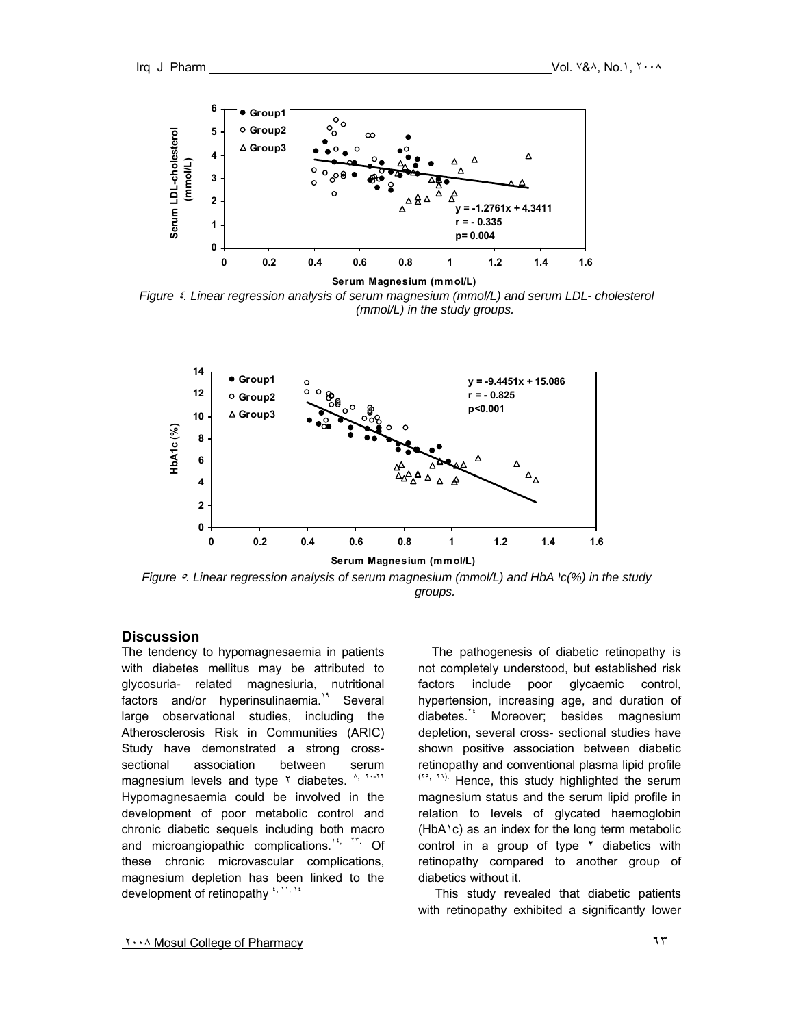

*Figure* ٤*. Linear regression analysis of serum magnesium (mmol/L) and serum LDL- cholesterol (mmol/L) in the study groups.* 



*Figure* ٥*. Linear regression analysis of serum magnesium (mmol/L) and HbA*١*c(%) in the study groups.* 

## **Discussion**

The tendency to hypomagnesaemia in patients with diabetes mellitus may be attributed to glycosuria- related magnesiuria, nutritional factors and/or hyperinsulinaemia.<sup>14</sup> Several large observational studies, including the Atherosclerosis Risk in Communities (ARIC) Study have demonstrated a strong crosssectional association between serum magnesium levels and type  $\frac{1}{2}$  diabetes.  $\frac{1}{2}$ ,  $\frac{1}{2}$ ,  $\frac{1}{2}$ Hypomagnesaemia could be involved in the development of poor metabolic control and chronic diabetic sequels including both macro and microangiopathic complications.<sup>14, YT</sup> Of these chronic microvascular complications, magnesium depletion has been linked to the development of retinopathy  $\frac{f_1(1)}{f_2(1)}$ 

 The pathogenesis of diabetic retinopathy is not completely understood, but established risk factors include poor glycaemic control, hypertension, increasing age, and duration of diabetes.<sup>14</sup> Moreover; besides magnesium depletion, several cross- sectional studies have shown positive association between diabetic retinopathy and conventional plasma lipid profile  $(10, 17)$ . Hence, this study highlighted the serum magnesium status and the serum lipid profile in relation to levels of glycated haemoglobin (HbA١c) as an index for the long term metabolic control in a group of type  $\frac{1}{2}$  diabetics with retinopathy compared to another group of diabetics without it.

 This study revealed that diabetic patients with retinopathy exhibited a significantly lower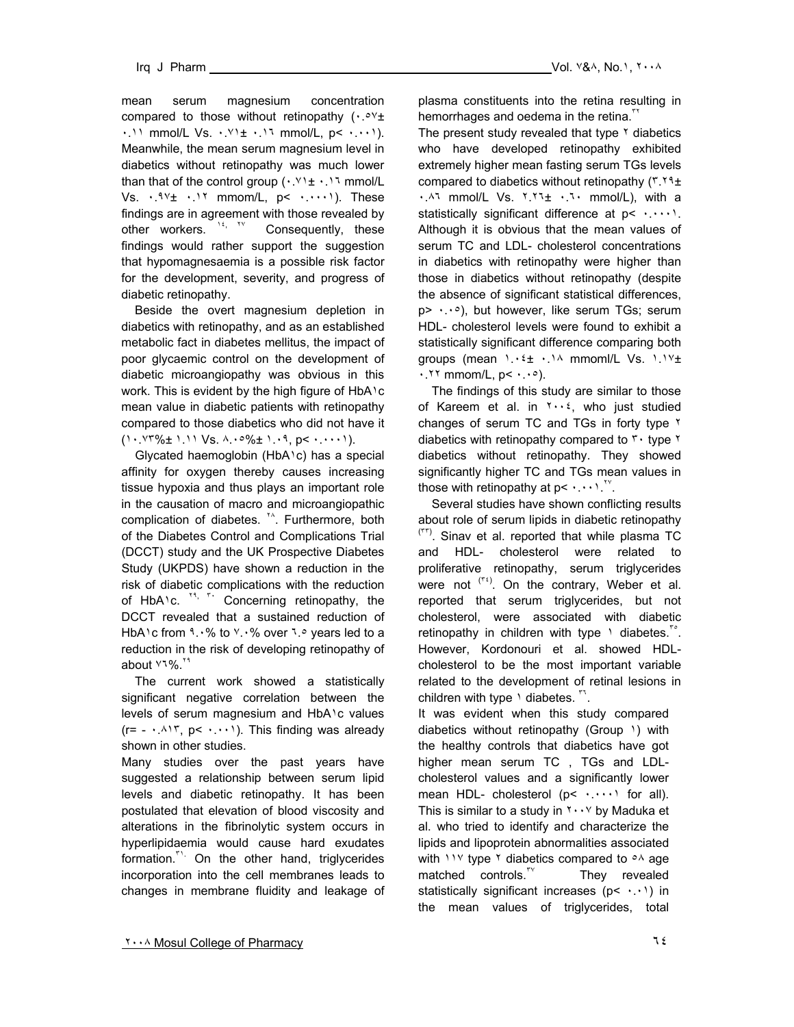mean serum magnesium concentration compared to those without retinopathy  $( \cdot e^{y} +$ ٠.١١ mmol/L Vs. ٠.٧١± ٠.١٦ mmol/L, p< ٠.٠٠١). Meanwhile, the mean serum magnesium level in diabetics without retinopathy was much lower than that of the control group  $( \cdot \cdot \cdot ) \cdot \cdot$  mmol/L Vs.  $\cdot$ .  $94 + \cdot$ . 11 mmom/L,  $p < \cdot$ .  $\cdot \cdot \cdot$ ). These findings are in agreement with those revealed by other workers. <sup>14, TV</sup> Consequently, these findings would rather support the suggestion that hypomagnesaemia is a possible risk factor for the development, severity, and progress of diabetic retinopathy.

 Beside the overt magnesium depletion in diabetics with retinopathy, and as an established metabolic fact in diabetes mellitus, the impact of poor glycaemic control on the development of diabetic microangiopathy was obvious in this work. This is evident by the high figure of HbA1c mean value in diabetic patients with retinopathy compared to those diabetics who did not have it  $(1 \cdot 17\% \pm 1.11 \text{ Vs. } 4 \cdot 10\% \pm 1.19, \text{ p} \cdot 1.11).$ 

 Glycated haemoglobin (HbA١c) has a special affinity for oxygen thereby causes increasing tissue hypoxia and thus plays an important role in the causation of macro and microangiopathic complication of diabetes. <sup>\*</sup><sup>\*</sup>. Furthermore, both of the Diabetes Control and Complications Trial (DCCT) study and the UK Prospective Diabetes Study (UKPDS) have shown a reduction in the risk of diabetic complications with the reduction of HbA<sup>1</sup>c.<sup>*xx, x-*</sup> Concerning retinopathy, the DCCT revealed that a sustained reduction of HbA<sup>1</sup>c from ٩.٠% to ٧.٠% over ٦.٥ years led to a reduction in the risk of developing retinopathy of about **71%**.<sup>19</sup>

 The current work showed a statistically significant negative correlation between the levels of serum magnesium and HbA١c values  $(r= -1.417, p< +. \cdots)$ . This finding was already shown in other studies.

Many studies over the past years have suggested a relationship between serum lipid levels and diabetic retinopathy. It has been postulated that elevation of blood viscosity and alterations in the fibrinolytic system occurs in hyperlipidaemia would cause hard exudates formation.<sup>"</sup> On the other hand, triglycerides incorporation into the cell membranes leads to changes in membrane fluidity and leakage of

plasma constituents into the retina resulting in hemorrhages and oedema in the retina.<sup>™</sup>

The present study revealed that type  $\gamma$  diabetics who have developed retinopathy exhibited extremely higher mean fasting serum TGs levels compared to diabetics without retinopathy (٣.٢٩± ٠.٨٦ mmol/L Vs. ٢.٢٦± ٠.٦٠ mmol/L), with a statistically significant difference at p< ...., Although it is obvious that the mean values of serum TC and LDL- cholesterol concentrations in diabetics with retinopathy were higher than those in diabetics without retinopathy (despite the absence of significant statistical differences, p> ٠.٠٥), but however, like serum TGs; serum HDL- cholesterol levels were found to exhibit a statistically significant difference comparing both groups (mean ١.٠٤± ٠.١٨ mmoml/L Vs. ١.١٧±  $\cdot$ . ٢٢ mmom/L,  $p$ <  $\cdot$ .  $\cdot$   $\circ$ ).

 The findings of this study are similar to those of Kareem et al. in  $\forall \cdot \cdot \ell$ , who just studied changes of serum TC and TGs in forty type ٢ diabetics with retinopathy compared to  $\mathbf{r} \cdot \mathbf{type}$   $\mathbf{r}$ diabetics without retinopathy. They showed significantly higher TC and TGs mean values in those with retinopathy at  $p < \cdots$ <sup>17</sup>.

 Several studies have shown conflicting results about role of serum lipids in diabetic retinopathy  $(177)$ . Sinav et al. reported that while plasma TC and HDL- cholesterol were related to proliferative retinopathy, serum triglycerides were not  $(1, 1)$ . On the contrary, Weber et al. reported that serum triglycerides, but not cholesterol, were associated with diabetic retinopathy in children with type  $\theta$  diabetes.<sup>10</sup>. However, Kordonouri et al. showed HDLcholesterol to be the most important variable related to the development of retinal lesions in children with type \ diabetes. "

It was evident when this study compared diabetics without retinopathy (Group 1) with the healthy controls that diabetics have got higher mean serum TC , TGs and LDLcholesterol values and a significantly lower mean HDL- cholesterol  $(p < \cdots)$  for all). This is similar to a study in  $\gamma \cdot \gamma$  by Maduka et al. who tried to identify and characterize the lipids and lipoprotein abnormalities associated with  $11\%$  type  $\%$  diabetics compared to  $\circ\%$  age matched controls. $N = N$ They revealed statistically significant increases (p< ...) in the mean values of triglycerides, total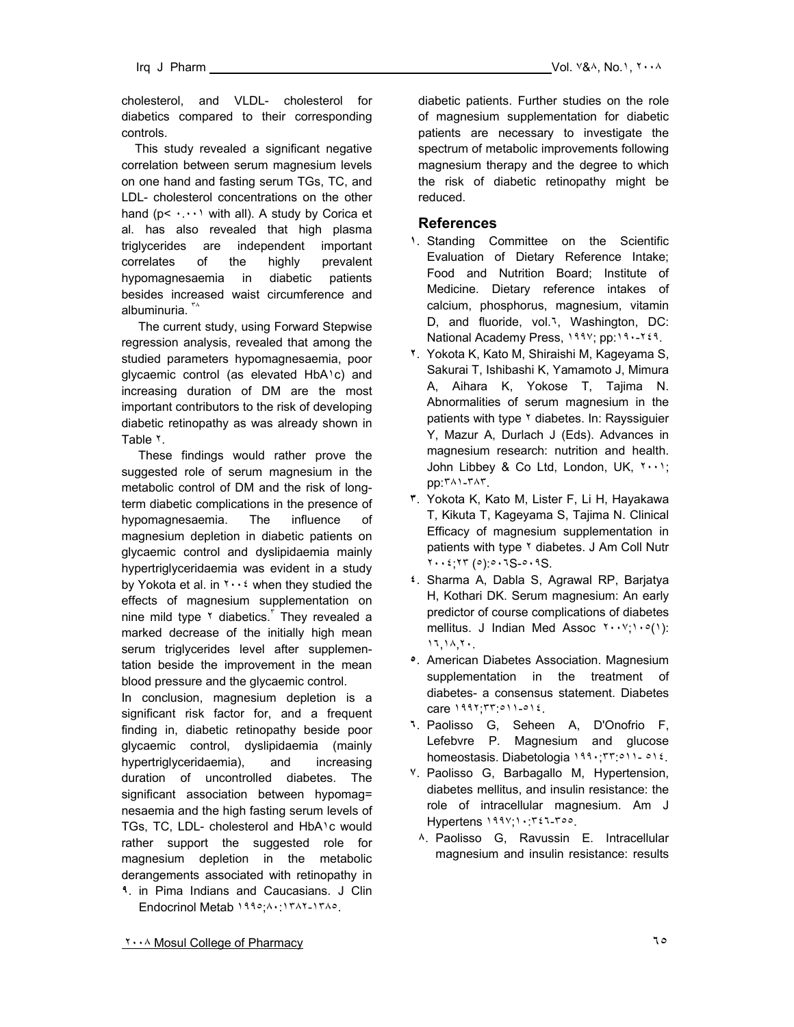cholesterol, and VLDL- cholesterol for diabetics compared to their corresponding controls.

 This study revealed a significant negative correlation between serum magnesium levels on one hand and fasting serum TGs, TC, and LDL- cholesterol concentrations on the other hand ( $p$ <  $\cdots$ ) with all). A study by Corica et al. has also revealed that high plasma triglycerides are independent important correlates of the highly prevalent hypomagnesaemia in diabetic patients besides increased waist circumference and albuminuria.  $\sqrt{a}$ 

 The current study, using Forward Stepwise regression analysis, revealed that among the studied parameters hypomagnesaemia, poor glycaemic control (as elevated HbA١c) and increasing duration of DM are the most important contributors to the risk of developing diabetic retinopathy as was already shown in Table ٢.

 These findings would rather prove the suggested role of serum magnesium in the metabolic control of DM and the risk of longterm diabetic complications in the presence of hypomagnesaemia. The influence of magnesium depletion in diabetic patients on glycaemic control and dyslipidaemia mainly hypertriglyceridaemia was evident in a study by Yokota et al. in  $\cdots$  when they studied the effects of magnesium supplementation on nine mild type  $\gamma$  diabetics.<sup> $\gamma$ </sup> They revealed a marked decrease of the initially high mean serum triglycerides level after supplementation beside the improvement in the mean blood pressure and the glycaemic control.

In conclusion, magnesium depletion is a significant risk factor for, and a frequent finding in, diabetic retinopathy beside poor glycaemic control, dyslipidaemia (mainly hypertriglyceridaemia), and increasing duration of uncontrolled diabetes. The significant association between hypomag= nesaemia and the high fasting serum levels of TGs, TC, LDL- cholesterol and HbA١c would rather support the suggested role for magnesium depletion in the metabolic derangements associated with retinopathy in **٩**. in Pima Indians and Caucasians. J Clin Endocrinol Metab ١٩٩٥;٨٠:١٣٨٢-١٣٨٥.

diabetic patients. Further studies on the role of magnesium supplementation for diabetic patients are necessary to investigate the spectrum of metabolic improvements following magnesium therapy and the degree to which the risk of diabetic retinopathy might be reduced.

#### **References**

- **١**. Standing Committee on the Scientific Evaluation of Dietary Reference Intake; Food and Nutrition Board; Institute of Medicine. Dietary reference intakes of calcium, phosphorus, magnesium, vitamin D, and fluoride, vol.٦, Washington, DC: National Academy Press, ١٩٩٧; pp:١٩٠-٢٤٩.
- **٢**. Yokota K, Kato M, Shiraishi M, Kageyama S, Sakurai T, Ishibashi K, Yamamoto J, Mimura A, Aihara K, Yokose T, Tajima N. Abnormalities of serum magnesium in the patients with type <sup>٢</sup> diabetes. In: Rayssiguier Y, Mazur A, Durlach J (Eds). Advances in magnesium research: nutrition and health. John Libbey & Co Ltd, London, UK, ٢٠٠١; pp:٣٨١-٣٨٣.
- **٣**. Yokota K, Kato M, Lister F, Li H, Hayakawa T, Kikuta T, Kageyama S, Tajima N. Clinical Efficacy of magnesium supplementation in patients with type Y diabetes. J Am Coll Nutr ٢٠٠٤;٢٣ (٥):٥٠٦S-٥٠٩S.
- **٤**. Sharma A, Dabla S, Agrawal RP, Barjatya H, Kothari DK. Serum magnesium: An early predictor of course complications of diabetes mellitus. J Indian Med Assoc ٢٠٠٧;١٠٥(١): ١٦,١٨,٢٠.
- **٥**. American Diabetes Association. Magnesium supplementation in the treatment of diabetes- a consensus statement. Diabetes care ١٩٩٢;٣٣:٥١١-٥١٤.
- **٦**. Paolisso G, Seheen A, D'Onofrio F, Lefebvre P. Magnesium and glucose homeostasis. Diabetologia ١٩٩٠;٣٣:٥١١- ٥١٤.
- **٧**. Paolisso G, Barbagallo M, Hypertension, diabetes mellitus, and insulin resistance: the role of intracellular magnesium. Am J Hypertens ١٩٩٧;١٠:٣٤٦-٣٥٥.
	- **٨**. Paolisso G, Ravussin E. Intracellular magnesium and insulin resistance: results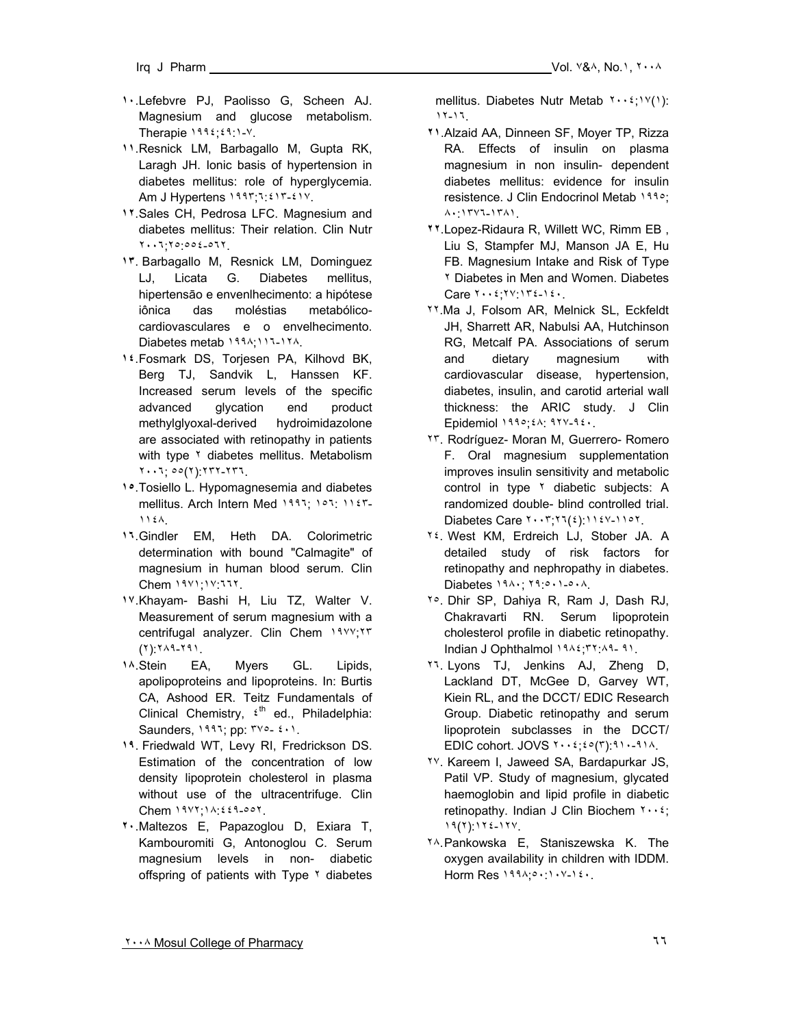- 
- **١٠**. Lefebvre PJ, Paolisso G, Scheen AJ. Magnesium and glucose metabolism. Therapie ١٩٩٤;٤٩:١-٧.
- **١١**. Resnick LM, Barbagallo M, Gupta RK, Laragh JH. Ionic basis of hypertension in diabetes mellitus: role of hyperglycemia. Am J Hypertens ١٩٩٣;٦:٤١٣-٤١٧.
- **١٢**. Sales CH, Pedrosa LFC. Magnesium and diabetes mellitus: Their relation. Clin Nutr ٢٠٠٦;٢٥:٥٥٤-٥٦٢.
- **١٣**.Barbagallo M, Resnick LM, Dominguez LJ, Licata G. Diabetes mellitus, hipertensāo e envenlhecimento: a hipótese iônica das moléstias metabólicocardiovasculares e o envelhecimento. Diabetes metab ١٩٩٨;١١٦-١٢٨.
- **١٤**. Fosmark DS, Torjesen PA, Kilhovd BK, Berg TJ, Sandvik L, Hanssen KF. Increased serum levels of the specific advanced glycation end product methylglyoxal-derived hydroimidazolone are associated with retinopathy in patients with type <sup>٢</sup> diabetes mellitus. Metabolism ٢٠٠٦; ٥٥(٢):٢٣٢-٢٣٦.
- **١٥**. Tosiello L. Hypomagnesemia and diabetes mellitus. Arch Intern Med ١٩٩٦; ١٥٦: ١١٤٣-١١٤٨.
- **١٦**. Gindler EM, Heth DA. Colorimetric determination with bound "Calmagite" of magnesium in human blood serum. Clin Chem ١٩٧١;١٧:٦٦٢.
- **١٧**. Khayam- Bashi H, Liu TZ, Walter V. Measurement of serum magnesium with a centrifugal analyzer. Clin Chem ١٩٧٧;٢٣ (٢):٢٨٩-٢٩١.
- **١٨**. Stein EA, Myers GL. Lipids, apolipoproteins and lipoproteins. In: Burtis CA, Ashood ER. Teitz Fundamentals of Clinical Chemistry,  $t^{\text{th}}$  ed., Philadelphia: Saunders, ١٩٩٦; pp: ٣٧٥- ٤٠١.
- **١٩**.Friedwald WT, Levy RI, Fredrickson DS. Estimation of the concentration of low density lipoprotein cholesterol in plasma without use of the ultracentrifuge. Clin Chem ١٩٧٢;١٨:٤٤٩-٥٥٢.
- **٢٠**. Maltezos E, Papazoglou D, Exiara T, Kambouromiti G, Antonoglou C. Serum magnesium levels in non- diabetic offspring of patients with Type Y diabetes

mellitus. Diabetes Nutr Metab ٢٠٠٤;١٧(١): ١٢-١٦.

- **٢١**. Alzaid AA, Dinneen SF, Moyer TP, Rizza RA. Effects of insulin on plasma magnesium in non insulin- dependent diabetes mellitus: evidence for insulin resistence. J Clin Endocrinol Metab ١٩٩٥; ٨٠:١٣٧٦-١٣٨١.
- **٢٢**. Lopez-Ridaura R, Willett WC, Rimm EB , Liu S, Stampfer MJ, Manson JA E, Hu FB. Magnesium Intake and Risk of Type ٢ Diabetes in Men and Women. Diabetes Care ٢٠٠٤;٢٧:١٣٤-١٤٠.
- ٢٢.Ma J, Folsom AR, Melnick SL, Eckfeldt JH, Sharrett AR, Nabulsi AA, Hutchinson RG, Metcalf PA. Associations of serum and dietary magnesium with cardiovascular disease, hypertension, diabetes, insulin, and carotid arterial wall thickness: the ARIC study. J Clin Epidemiol ١٩٩٥;٤٨: ٩٢٧-٩٤٠.
- ٢٣. Rodríguez- Moran M, Guerrero- Romero F. Oral magnesium supplementation improves insulin sensitivity and metabolic control in type <sup>Y</sup> diabetic subjects: A randomized double- blind controlled trial. Diabetes Care ٢٠٠٣;٢٦(٤):١١٤٧-١١٥٢.
- ٢٤. West KM, Erdreich LJ, Stober JA. A detailed study of risk factors for retinopathy and nephropathy in diabetes. Diabetes ١٩٨٠; ٢٩:٥٠١-٥٠٨.
- ٢٥. Dhir SP, Dahiya R, Ram J, Dash RJ, Chakravarti RN. Serum lipoprotein cholesterol profile in diabetic retinopathy. Indian J Ophthalmol ١٩٨٤;٣٢:٨٩- ٩١.
- ٢٦. Lyons TJ, Jenkins AJ, Zheng D, Lackland DT, McGee D, Garvey WT, Kiein RL, and the DCCT/ EDIC Research Group. Diabetic retinopathy and serum lipoprotein subclasses in the DCCT/ EDIC cohort. JOVS  $\tau \cdot \tau$ :  $\epsilon \circ (\tau)$ : ٩١٠-٩١٨.
- ٢٧. Kareem I, Jaweed SA, Bardapurkar JS, Patil VP. Study of magnesium, glycated haemoglobin and lipid profile in diabetic retinopathy. Indian J Clin Biochem  $\mathbf{y} \cdot \mathbf{z}$ ; ١٩(٢):١٢٤-١٢٧.
- ٢٨. Pankowska E, Staniszewska K. The oxygen availability in children with IDDM. Horm Res ١٩٩٨;٥٠:١٠٧-١٤٠.